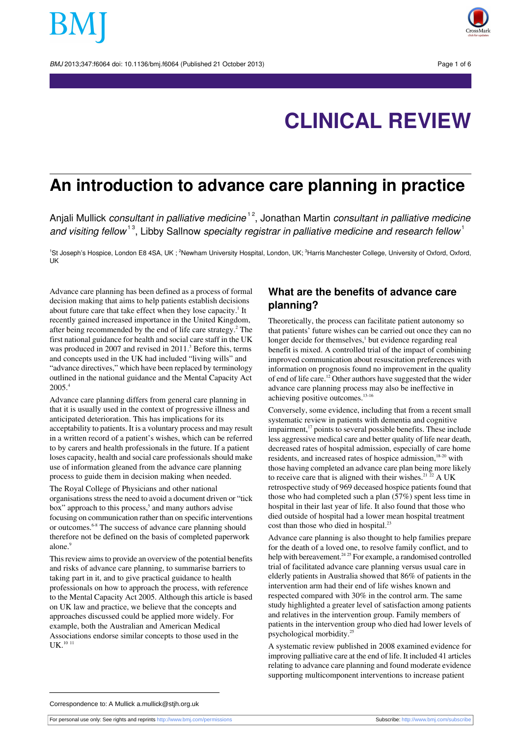BMJ 2013;347:f6064 doi: 10.1136/bmj.f6064 (Published 21 October 2013) Page 1 of 6



# **CLINICAL REVIEW**

## **An introduction to advance care planning in practice**

Anjali Mullick *consultant in palliative medicine* <sup>12</sup>, Jonathan Martin *consultant in palliative medicine* and visiting fellow<sup>13</sup>, Libby Sallnow specialty registrar in palliative medicine and research fellow<sup>1</sup>

<sup>1</sup>St Joseph's Hospice, London E8 4SA, UK; <sup>2</sup>Newham University Hospital, London, UK; <sup>3</sup>Harris Manchester College, University of Oxford, Oxford, UK

Advance care planning has been defined as a process of formal decision making that aims to help patients establish decisions about future care that take effect when they lose capacity.<sup>1</sup> It recently gained increased importance in the United Kingdom, after being recommended by the end of life care strategy.<sup>2</sup> The first national guidance for health and social care staff in the UK was produced in 2007 and revised in 2011.<sup>3</sup> Before this, terms and concepts used in the UK had included "living wills" and "advance directives," which have been replaced by terminology outlined in the national guidance and the Mental Capacity Act 2005.<sup>4</sup>

Advance care planning differs from general care planning in that it is usually used in the context of progressive illness and anticipated deterioration. This has implications for its acceptability to patients. It is a voluntary process and may result in a written record of a patient's wishes, which can be referred to by carers and health professionals in the future. If a patient loses capacity, health and social care professionals should make use of information gleaned from the advance care planning process to guide them in decision making when needed.

The Royal College of Physicians and other national organisations stress the need to avoid a document driven or "tick" box" approach to this process,<sup>5</sup> and many authors advise focusing on communication rather than on specific interventions or outcomes.6-8 The success of advance care planning should therefore not be defined on the basis of completed paperwork alone.<sup>9</sup>

This review aims to provide an overview of the potential benefits and risks of advance care planning, to summarise barriers to taking part in it, and to give practical guidance to health professionals on how to approach the process, with reference to the Mental Capacity Act 2005. Although this article is based on UK law and practice, we believe that the concepts and approaches discussed could be applied more widely. For example, both the Australian and American Medical Associations endorse similar concepts to those used in the  $UK.<sup>10 11</sup>$ 

### **What are the benefits of advance care planning?**

Theoretically, the process can facilitate patient autonomy so that patients' future wishes can be carried out once they can no longer decide for themselves,<sup>1</sup> but evidence regarding real benefit is mixed. A controlled trial of the impact of combining improved communication about resuscitation preferences with information on prognosis found no improvement in the quality of end of life care.<sup>12</sup> Other authors have suggested that the wider advance care planning process may also be ineffective in achieving positive outcomes.<sup>13-16</sup>

Conversely, some evidence, including that from a recent small systematic review in patients with dementia and cognitive  $impairment.<sup>17</sup> points to several possible benefits. These include$ less aggressive medical care and better quality of life near death, decreased rates of hospital admission, especially of care home residents, and increased rates of hospice admission,<sup>18-20</sup> with those having completed an advance care plan being more likely to receive care that is aligned with their wishes.<sup>21 22</sup> A UK retrospective study of 969 deceased hospice patients found that those who had completed such a plan (57%) spent less time in hospital in their last year of life. It also found that those who died outside of hospital had a lower mean hospital treatment cost than those who died in hospital.<sup>23</sup>

Advance care planning is also thought to help families prepare for the death of a loved one, to resolve family conflict, and to help with bereavement.<sup>24,25</sup> For example, a randomised controlled trial of facilitated advance care planning versus usual care in elderly patients in Australia showed that 86% of patients in the intervention arm had their end of life wishes known and respected compared with 30% in the control arm. The same study highlighted a greater level of satisfaction among patients and relatives in the intervention group. Family members of patients in the intervention group who died had lower levels of psychological morbidity.<sup>25</sup>

A systematic review published in 2008 examined evidence for improving palliative care at the end of life. It included 41 articles relating to advance care planning and found moderate evidence supporting multicomponent interventions to increase patient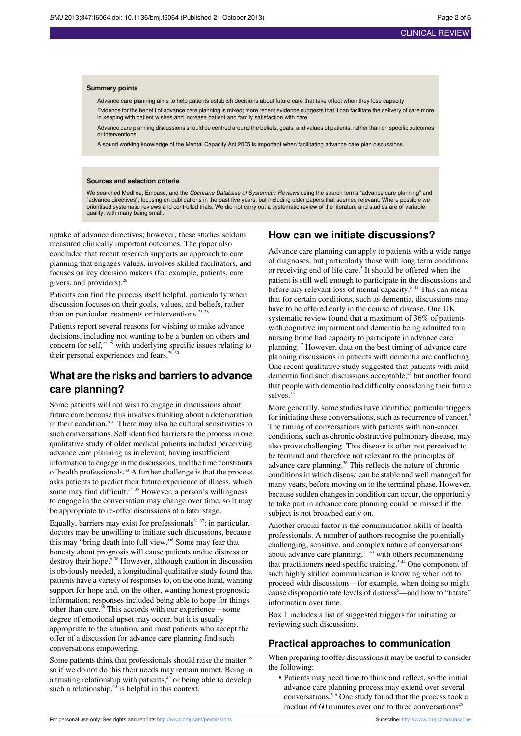#### **Summary points**

Advance care planning aims to help patients establish decisions about future care that take effect when they lose capacity

Evidence for the benefit of advance care planning is mixed; more recent evidence suggests that it can facilitate the delivery of care more in keeping with patient wishes and increase patient and family satisfaction with care

Advance care planning discussions should be centred around the beliefs, goals, and values of patients, rather than on specific outcomes or interventions

A sound working knowledge of the Mental Capacity Act 2005 is important when facilitating advance care plan discussions

#### **Sources and selection criteria**

We searched Medline, Embase, and the Cochrane Database of Systematic Reviews using the search terms "advance care planning" and "advance directives", focusing on publications in the past five years, but including older papers that seemed relevant. Where possible we prioritised systematic reviews and controlled trials. We did not carry out a systematic review of the literature and studies are of variable quality, with many being small.

uptake of advance directives; however, these studies seldom measured clinically important outcomes. The paper also concluded that recent research supports an approach to care planning that engages values, involves skilled facilitators, and focuses on key decision makers (for example, patients, care givers, and providers). $^{26}$ 

Patients can find the process itself helpful, particularly when discussion focuses on their goals, values, and beliefs, rather than on particular treatments or interventions.<sup>25-28</sup>

Patients report several reasons for wishing to make advance decisions, including not wanting to be a burden on others and concern for self, $27 29$  with underlying specific issues relating to their personal experiences and fears.<sup>29 30</sup>

### **What are the risks and barriers to advance care planning?**

Some patients will not wish to engage in discussions about future care because this involves thinking about a deterioration in their condition. $6-32$  There may also be cultural sensitivities to such conversations. Self identified barriers to the process in one qualitative study of older medical patients included perceiving advance care planning as irrelevant, having insufficient information to engage in the discussions, and the time constraints of health professionals.<sup>33</sup> A further challenge is that the process asks patients to predict their future experience of illness, which some may find difficult.<sup>34 35</sup> However, a person's willingness to engage in the conversation may change over time, so it may be appropriate to re-offer discussions at a later stage.

Equally, barriers may exist for professionals<sup>31-37</sup>; in particular, doctors may be unwilling to initiate such discussions, because this may "bring death into full view."<sup>6</sup> Some may fear that honesty about prognosis will cause patients undue distress or destroy their hope.<sup>6</sup> <sup>38</sup> However, although caution in discussion is obviously needed, a longitudinal qualitative study found that patients have a variety of responsesto, on the one hand, wanting support for hope and, on the other, wanting honest prognostic information; responses included being able to hope for things other than cure.<sup>38</sup> This accords with our experience—some degree of emotional upset may occur, but it is usually appropriate to the situation, and most patients who accept the offer of a discussion for advance care planning find such conversations empowering.

Some patients think that professionals should raise the matter.<sup>39</sup> so if we do not do this their needs may remain unmet. Being in a trusting relationship with patients, $24$  or being able to develop such a relationship, $40$  is helpful in this context.

### **How can we initiate discussions?**

Advance care planning can apply to patients with a wide range of diagnoses, but particularly those with long term conditions or receiving end of life care.<sup>5</sup> It should be offered when the patient is still well enough to participate in the discussions and before any relevant loss of mental capacity.<sup>5 41</sup> This can mean that for certain conditions, such as dementia, discussions may have to be offered early in the course of disease. One UK systematic review found that a maximum of 36% of patients with cognitive impairment and dementia being admitted to a nursing home had capacity to participate in advance care planning.<sup>17</sup> However, data on the best timing of advance care planning discussions in patients with dementia are conflicting. One recent qualitative study suggested that patients with mild dementia find such discussions acceptable,<sup>42</sup> but another found that people with dementia had difficulty considering their future selves.<sup>35</sup>

More generally, some studies have identified particular triggers for initiating these conversations, such as recurrence of cancer.<sup>6</sup> The timing of conversations with patients with non-cancer conditions, such as chronic obstructive pulmonary disease, may also prove challenging. This disease is often not perceived to be terminal and therefore not relevant to the principles of advance care planning.<sup>36</sup> This reflects the nature of chronic conditions in which disease can be stable and well managed for many years, before moving on to the terminal phase. However, because sudden changes in condition can occur, the opportunity to take part in advance care planning could be missed if the subject is not broached early on.

Another crucial factor is the communication skills of health professionals. A number of authors recognise the potentially challenging, sensitive, and complex nature of conversations about advance care planning,<sup>13</sup> <sup>43</sup> with others recommending that practitioners need specific training.<sup>5-44</sup> One component of such highly skilled communication is knowing when not to proceed with discussions—for example, when doing so might cause disproportionate levels of distress<sup>5</sup>—and how to "titrate" information over time.

Box 1 includes a list of suggested triggers for initiating or reviewing such discussions.

#### **Practical approaches to communication**

When preparing to offer discussions it may be useful to consider the following:

**•** Patients may need time to think and reflect, so the initial advance care planning process may extend over several conversations.<sup>5</sup> <sup>6</sup> One study found that the process took a median of 60 minutes over one to three conversations<sup>25</sup>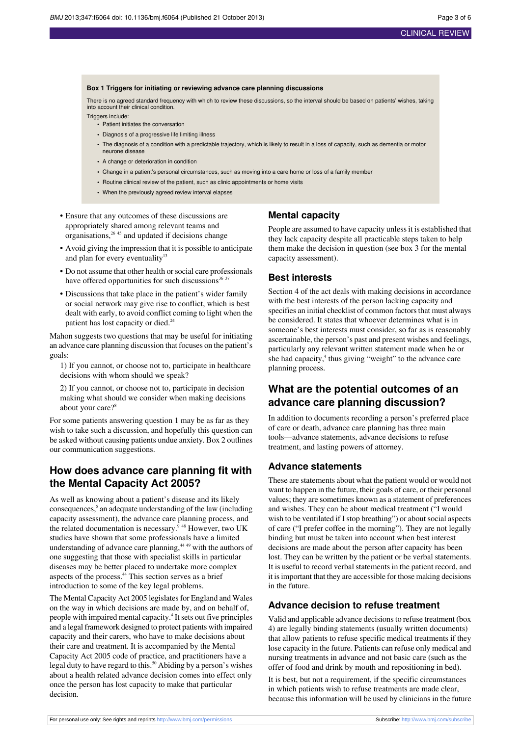#### **Box 1 Triggers for initiating or reviewing advance care planning discussions**

There is no agreed standard frequency with which to review these discussions, so the interval should be based on patients' wishes, taking into account their clinical condition.

Triggers include:

- **•** Patient initiates the conversation
- **•** Diagnosis of a progressive life limiting illness
- **•** The diagnosis of a condition with a predictable trajectory, which is likely to result in a loss of capacity, such as dementia or motor neurone disease
- **•** A change or deterioration in condition
- **•** Change in a patient's personal circumstances, such as moving into a care home or loss of a family member
- **•** Routine clinical review of the patient, such as clinic appointments or home visits
- **•** When the previously agreed review interval elapses
- **•** Ensure that any outcomes of these discussions are appropriately shared among relevant teams and  $organisations<sub>1</sub><sup>26-45</sup>$  and updated if decisions change
- **•** Avoid giving the impression that it is possible to anticipate and plan for every eventuality<sup>13</sup>
- Do not assume that other health or social care professionals have offered opportunities for such discussions $36\,37$
- **•** Discussions that take place in the patient's wider family or social network may give rise to conflict, which is best dealt with early, to avoid conflict coming to light when the patient has lost capacity or died.<sup>24</sup>

Mahon suggests two questions that may be useful for initiating an advance care planning discussion that focuses on the patient's goals:

1) If you cannot, or choose not to, participate in healthcare decisions with whom should we speak?

2) If you cannot, or choose not to, participate in decision making what should we consider when making decisions about your care?<sup>8</sup>

For some patients answering question 1 may be as far as they wish to take such a discussion, and hopefully this question can be asked without causing patients undue anxiety. Box 2 outlines our communication suggestions.

### **How does advance care planning fit with the Mental Capacity Act 2005?**

As well as knowing about a patient's disease and its likely consequences,<sup>5</sup> an adequate understanding of the law (including capacity assessment), the advance care planning process, and the related documentation is necessary.<sup> $948$ </sup> However, two UK studies have shown that some professionals have a limited understanding of advance care planning, $4449$  with the authors of one suggesting that those with specialist skills in particular diseases may be better placed to undertake more complex aspects of the process.<sup>44</sup> This section serves as a brief introduction to some of the key legal problems.

The Mental Capacity Act 2005 legislates for England and Wales on the way in which decisions are made by, and on behalf of, people with impaired mental capacity.<sup>4</sup> It sets out five principles and a legal framework designed to protect patients with impaired capacity and their carers, who have to make decisions about their care and treatment. It is accompanied by the Mental Capacity Act 2005 code of practice, and practitioners have a legal duty to have regard to this.<sup>50</sup> Abiding by a person's wishes about a health related advance decision comes into effect only once the person has lost capacity to make that particular decision.

### **Mental capacity**

People are assumed to have capacity unless it is established that they lack capacity despite all practicable steps taken to help them make the decision in question (see box 3 for the mental capacity assessment).

### **Best interests**

Section 4 of the act deals with making decisions in accordance with the best interests of the person lacking capacity and specifies an initial checklist of common factors that must always be considered. It states that whoever determines what is in someone's best interests must consider, so far as is reasonably ascertainable, the person's past and present wishes and feelings, particularly any relevant written statement made when he or she had capacity,<sup>4</sup> thus giving "weight" to the advance care planning process.

### **What are the potential outcomes of an advance care planning discussion?**

In addition to documents recording a person's preferred place of care or death, advance care planning has three main tools—advance statements, advance decisions to refuse treatment, and lasting powers of attorney.

### **Advance statements**

These are statements about what the patient would or would not want to happen in the future, their goals of care, or their personal values; they are sometimes known as a statement of preferences and wishes. They can be about medical treatment ("I would wish to be ventilated if I stop breathing") or about social aspects of care ("I prefer coffee in the morning"). They are not legally binding but must be taken into account when best interest decisions are made about the person after capacity has been lost. They can be written by the patient or be verbal statements. It is useful to record verbal statements in the patient record, and it isimportant that they are accessible for those making decisions in the future.

### **Advance decision to refuse treatment**

Valid and applicable advance decisions to refuse treatment (box 4) are legally binding statements (usually written documents) that allow patients to refuse specific medical treatments if they lose capacity in the future. Patients can refuse only medical and nursing treatments in advance and not basic care (such as the offer of food and drink by mouth and repositioning in bed).

It is best, but not a requirement, if the specific circumstances in which patients wish to refuse treatments are made clear, because this information will be used by clinicians in the future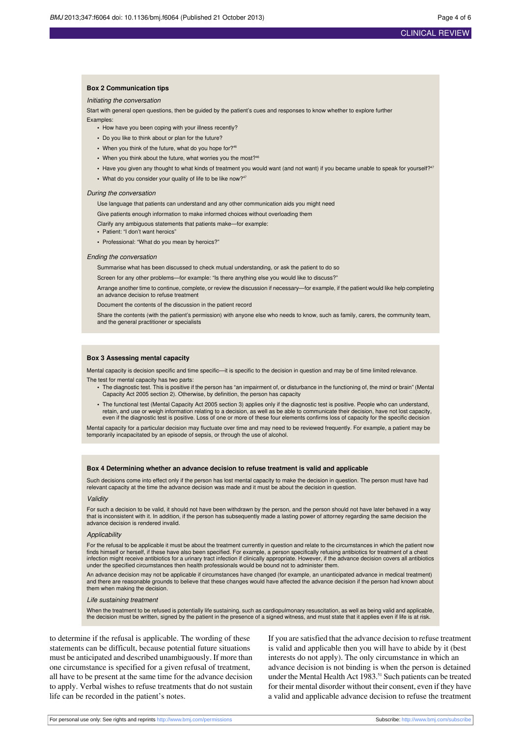### CLINICAL REVIEW

#### **Box 2 Communication tips**

Initiating the conversation

Start with general open questions, then be guided by the patient's cues and responses to know whether to explore further Examples:

- **•** How have you been coping with your illness recently?
- **•** Do you like to think about or plan for the future?
- When you think of the future, what do you hope for?<sup>46</sup>
- When you think about the future, what worries you the most?<sup>46</sup>
- Have you given any thought to what kinds of treatment you would want (and not want) if you became unable to speak for yourself?<sup>47</sup>
- What do you consider your quality of life to be like now?<sup>47</sup>

#### During the conversation

Use language that patients can understand and any other communication aids you might need

Give patients enough information to make informed choices without overloading them

Clarify any ambiguous statements that patients make—for example:

- **•** Patient: "I don't want heroics"
- **•** Professional: "What do you mean by heroics?"

#### Ending the conversation

Summarise what has been discussed to check mutual understanding, or ask the patient to do so

Screen for any other problems—for example: "Is there anything else you would like to discuss?"

Arrange another time to continue, complete, or review the discussion if necessary—for example, if the patient would like help completing an advance decision to refuse treatment

Document the contents of the discussion in the patient record

Share the contents (with the patient's permission) with anyone else who needs to know, such as family, carers, the community team, and the general practitioner or specialists

#### **Box 3 Assessing mental capacity**

Mental capacity is decision specific and time specific—it is specific to the decision in question and may be of time limited relevance.

- The test for mental capacity has two parts:
	- **•** The diagnostic test. This is positive if the person has "an impairment of, or disturbance in the functioning of, the mind or brain" (Mental Capacity Act 2005 section 2). Otherwise, by definition, the person has capacity
	- **•** The functional test (Mental Capacity Act 2005 section 3) applies only if the diagnostic test is positive. People who can understand, retain, and use or weigh information relating to a decision, as well as be able to communicate their decision, have not lost capacity, even if the diagnostic test is positive. Loss of one or more of these four elements confirms loss of capacity for the specific decision

Mental capacity for a particular decision may fluctuate over time and may need to be reviewed frequently. For example, a patient may be temporarily incapacitated by an episode of sepsis, or through the use of alcohol.

#### **Box 4 Determining whether an advance decision to refuse treatment is valid and applicable**

Such decisions come into effect only if the person has lost mental capacity to make the decision in question. The person must have had relevant capacity at the time the advance decision was made and it must be about the decision in question.

#### Validity

For such a decision to be valid, it should not have been withdrawn by the person, and the person should not have later behaved in a way that is inconsistent with it. In addition, if the person has subsequently made a lasting power of attorney regarding the same decision the advance decision is rendered invalid.

#### **Applicability**

For the refusal to be applicable it must be about the treatment currently in question and relate to the circumstances in which the patient now finds himself or herself, if these have also been specified. For example, a person specifically refusing antibiotics for treatment of a chest infection might receive antibiotics for a urinary tract infection if clinically appropriate. However, if the advance decision covers all antibiotics under the specified circumstances then health professionals would be bound not to administer them.

An advance decision may not be applicable if circumstances have changed (for example, an unanticipated advance in medical treatment) and there are reasonable grounds to believe that these changes would have affected the advance decision if the person had known about them when making the decision.

#### Life sustaining treatment

When the treatment to be refused is potentially life sustaining, such as cardiopulmonary resuscitation, as well as being valid and applicable, the decision must be written, signed by the patient in the presence of a signed witness, and must state that it applies even if life is at risk.

to determine if the refusal is applicable. The wording of these statements can be difficult, because potential future situations must be anticipated and described unambiguously. If more than one circumstance is specified for a given refusal of treatment, all have to be present at the same time for the advance decision to apply. Verbal wishes to refuse treatments that do not sustain life can be recorded in the patient's notes.

If you are satisfied that the advance decision to refuse treatment is valid and applicable then you will have to abide by it (best interests do not apply). The only circumstance in which an advance decision is not binding is when the person is detained under the Mental Health Act 1983.<sup>51</sup> Such patients can be treated for their mental disorder without their consent, even if they have a valid and applicable advance decision to refuse the treatment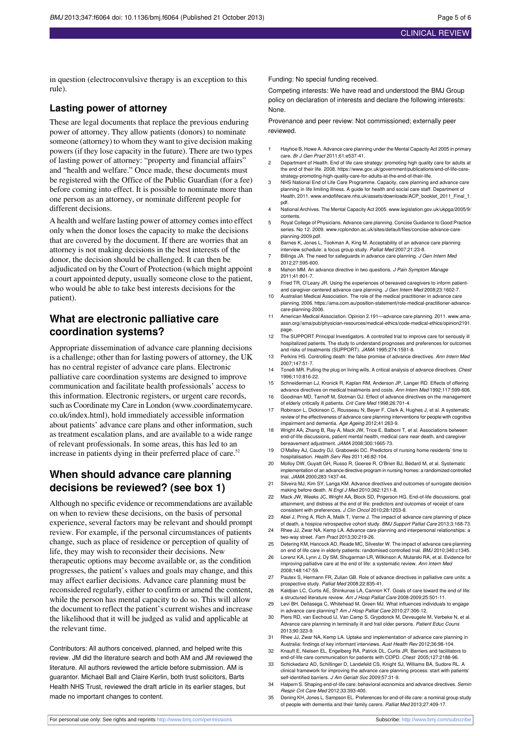in question (electroconvulsive therapy is an exception to this rule).

### **Lasting power of attorney**

These are legal documents that replace the previous enduring power of attorney. They allow patients (donors) to nominate someone (attorney) to whom they want to give decision making powers (if they lose capacity in the future). There are two types of lasting power of attorney: "property and financial affairs" and "health and welfare." Once made, these documents must be registered with the Office of the Public Guardian (for a fee) before coming into effect. It is possible to nominate more than one person as an attorney, or nominate different people for different decisions.

A health and welfare lasting power of attorney comesinto effect only when the donor loses the capacity to make the decisions that are covered by the document. If there are worries that an attorney is not making decisions in the best interests of the donor, the decision should be challenged. It can then be adjudicated on by the Court of Protection (which might appoint a court appointed deputy, usually someone close to the patient, who would be able to take best interests decisions for the patient).

### **What are electronic palliative care coordination systems?**

Appropriate dissemination of advance care planning decisions is a challenge; other than for lasting powers of attorney, the UK has no central register of advance care plans. Electronic palliative care coordination systems are designed to improve communication and facilitate health professionals' access to this information. Electronic registers, or urgent care records, such as Coordinate my Care in London ([www.coordinatemycare.](http://www.coordinatemycare.co.uk/index.html) [co.uk/index.html\)](http://www.coordinatemycare.co.uk/index.html), hold immediately accessible information about patients' advance care plans and other information, such as treatment escalation plans, and are available to a wide range of relevant professionals. In some areas, this has led to an increase in patients dying in their preferred place of care.<sup>52</sup>

### **When should advance care planning decisions be reviewed? (see box 1)**

Although no specific evidence or recommendations are available on when to review these decisions, on the basis of personal experience, several factors may be relevant and should prompt review. For example, if the personal circumstances of patients change, such as place of residence or perception of quality of life, they may wish to reconsider their decisions. New therapeutic options may become available or, as the condition progresses, the patient's values and goals may change, and this may affect earlier decisions. Advance care planning must be reconsidered regularly, either to confirm or amend the content, while the person has mental capacity to do so. This will allow the document to reflect the patient's current wishes and increase the likelihood that it will be judged as valid and applicable at the relevant time.

Contributors: All authors conceived, planned, and helped write this review. JM did the literature search and both AM and JM reviewed the literature. All authors reviewed the article before submission. AM is guarantor. Michael Ball and Claire Kerlin, both trust solicitors, Barts Health NHS Trust, reviewed the draft article in its earlier stages, but made no important changes to content.

Funding: No special funding received.

Competing interests: We have read and understood the BMJ Group policy on declaration of interests and declare the following interests: None.

Provenance and peer review: Not commissioned; externally peer reviewed.

- 1 Hayhoe B, Howe A. Advance care planning under the Mental Capacity Act 2005 in primary care. Br J Gen Pract 2011;61:e537-41.
- 2 Department of Health. End of life care strategy: promoting high quality care for adults at the end of their life. 2008. https://www.gov.uk/government/publications/end-of-life-carestrategy-promoting-high-quality-care-for-adults-at-the-end-of-their-life.
- 3 NHS National End of Life Care Programme. Capacity, care planning and advance care planning in life limiting illness. A guide for health and social care staff. Department of .<br>Health, 2011. www.endoflifecare.nhs.uk/assets/downloads/ACP\_booklet\_2011\_Final\_1 [pdf.](http://www.endoflifecare.nhs.uk/assets/downloads/ACP_booklet_2011_Final_1.pdf)
- 4 National Archives. The Mental Capacity Act 2005. [www.legislation.gov.uk/ukpga/2005/9/](http://www.legislation.gov.uk/ukpga/2005/9/contents) [contents](http://www.legislation.gov.uk/ukpga/2005/9/contents).
- 5 Royal College of Physicians. Advance care planning. Concise Guidance to Good Practice series. No 12. 2009. www.rcplondon.ac.uk/sites/default/files/concise-advance-care [planning-2009.pdf.](http://www.rcplondon.ac.uk/sites/default/files/concise-advance-care-planning-2009.pdf)
- Barnes K, Jones L, Tookman A, King M. Acceptability of an advance care planning interview schedule: a focus group study. Palliat Med 2007;21:23-8.
- 7 Billings JA. The need for safeguards in advance care planning. J Gen Intern Med 2012;27:595-600.
- 8 Mahon MM. An advance directive in two questions. J Pain Symptom Manage 2011;41:801-7.
- 9 Fried TR, O'Leary JR. Using the experiences of bereaved caregivers to inform patientand caregiver-centered advance care planning. J Gen Intern Med 2008;23:1602-7.
- 10 Australian Medical Association. The role of the medical practitioner in advance care planning. 2006. https://ama.com.au/position-statement/role-medical-practitioner-advancecare-planning-2006.
- 11 American Medical Association. Opinion 2.191—advance care planning. 2011. [www.ama](http://www.ama-assn.org//ama/pub/physician-resources/medical-ethics/code-medical-ethics/opinion2191.page)[assn.org//ama/pub/physician-resources/medical-ethics/code-medical-ethics/opinion2191.](http://www.ama-assn.org//ama/pub/physician-resources/medical-ethics/code-medical-ethics/opinion2191.page) [page](http://www.ama-assn.org//ama/pub/physician-resources/medical-ethics/code-medical-ethics/opinion2191.page).
- 12 The SUPPORT Principal Investigators. A controlled trial to improve care for seriously ill hospitalized patients. The study to understand prognoses and preferences for outco and risks of treatments (SUPPORT). JAMA 1995;274:1591-8.
- 13 Perkins HS. Controlling death: the false promise of advance directives. Ann Intern Med 2007;147:51-7.
- 14 Tonelli MR. Pulling the plug on living wills. A critical analysis of advance directives. Chest 1996;110:816-22.
- 15 Schneiderman LJ, Kronick R, Kaplan RM, Anderson JP, Langer RD. Effects of offering advance directives on medical treatments and costs. Ann Intern Med 1992;117:599-606.
- 16 Goodman MD, Tarnoff M, Slotman GJ. Effect of advance directives on the management of elderly critically ill patients. Crit Care Med 1998;26:701-4.
- 17 Robinson L, Dickinson C, Rousseau N, Beyer F, Clark A, Hughes J, et al. A systematic review of the effectiveness of advance care planning interventions for people with cognitive
- impairment and dementia. Age Ageing 2012;41:263-9.<br>18 Wright AA, Zhang B, Ray A, Mack JW, Trice E, Balboni T, et al. Associations between end-of-life discussions, patient mental health, medical care near death, and caregiver bereavement adjustment. JAMA 2008;300:1665-73.
- 19 O'Malley AJ, Caudry DJ, Grabowski DC. Predictors of nursing home residents' time to hospitalisation. Health Serv Res 2011:46:82-104.
- 20 Molloy DW, Guyatt GH, Russo R, Goeree R, O'Brien BJ, Bédard M, et al. Systematic implementation of an advance directive program in nursing homes: a randomized controlled trial. JAMA 2000;283:1437-44.
- 21 Silveira MJ, Kim SY, Langa KM. Advance directives and outcomes of surrogate decision making before death. N Engl J Med 2010;362:1211-8.
- 22 Mack JW, Weeks JC, Wright AA, Block SD, Prigerson HG. End-of-life discussions, goal attainment, and distress at the end of life: predictors and outcomes of receipt of care consistent with preferences. J Clin Oncol 2010;28:1203-8.
- 23 Abel J, Pring A, Rich A, Malik T, Verne J. The impact of advance care planning of place of death, a hospice retrospective cohort study. BMJ Support Palliat Care 2013;3:168-73.
- 24 Rhee JJ, Zwar NA, Kemp LA. Advance care planning and interpersonal relationships: a two-way street. Fam Pract 2013;30:219-26.
- 25 Detering KM, Hancock AD, Reade MC, Silvester W. The impact of advance care planning on end of life care in elderly patients: randomised controlled trial. BMJ 2010;340:c1345.
- 26 Lorenz KA, Lynn J, Dy SM, Shugarman LR, Wilkinson A, Mularski RA, et al. Evidence for improving palliative care at the end of life: a systematic review. Ann Intern Med 2008;148:147-59.
- 27 Pautex S, Hermann FR, Zulian GB. Role of advance directives in palliative care units: a prospective study. Palliat Med 2008;22:835-41.
- 28 Kaldjian LC, Curtis AE, Shinkunas LA, Cannon KT. Goals of care toward the end of life: a structured literature review. Am J Hosp Palliat Care 2008-2009;25:501-11.
- 29 Levi BH, Dellasega C, Whitehead M, Green MJ. What influences individuals to engage in advance care planning? Am J Hosp Palliat Care 2010;27:306-12.
- 30 Piers RD, van Eechoud IJ, Van Camp S, Grypdonck M, Deveugele M, Verbeke N, et al. Advance care planning in terminally ill and frail older persons. Patient Educ Couns 2013;90:323-9.
- 31 Rhee JJ, Zwar NA, Kemp LA. Uptake and implementation of advance care planning in Australia: findings of key informant interviews. Aust Health Rev 2012;36:98-104.
- 32 Knauft E, Nielsen EL, Engelberg RA, Patrick DL, Curtis JR. Barriers and facilitators to end-of-life care communication for patients with COPD. Chest 2005;127:2188-96.
- 33 Schickedanz AD, Schillinger D, Landefeld CS, Knight SJ, Williams BA, Sudore RL. A clinical framework for improving the advance care planning process: start with patients' self-identified barriers. J Am Geriatr Soc 2009:57:31-9.
- Halpern S. Shaping end-of-life care: behavioral economics and advance directives. Semin Respir Crit Care Med 2012;33:393-400.
- 35 Dening KH, Jones L. Sampson EL. Preferences for end-of-life care: a nominal group study of people with dementia and their family carers. Palliat Med 2013;27:409-17.